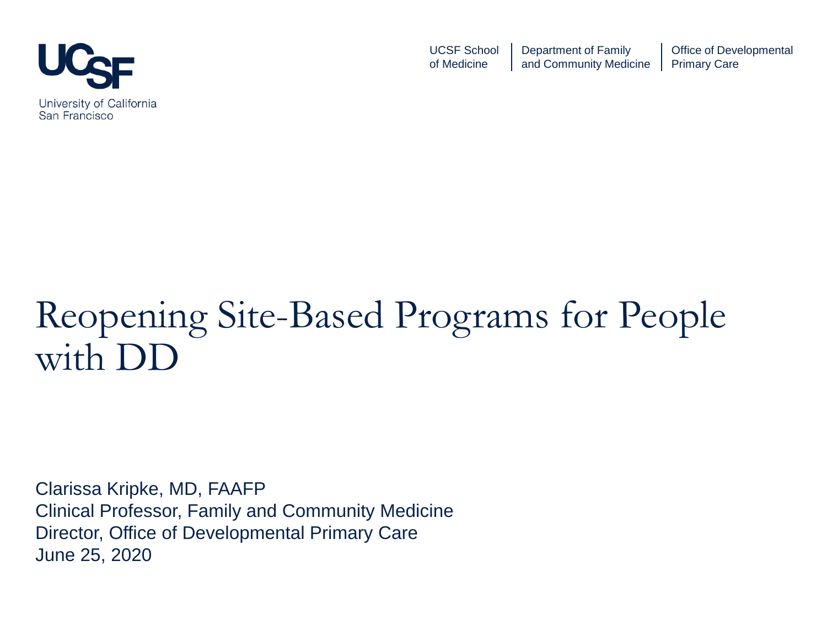

UCSF School of Medicine Department of Family and Community Medicine Office of Developmental Primary Care

## Reopening Site-Based Programs for People with DD

Clarissa Kripke, MD, FAAFP Clinical Professor, Family and Community Medicine Director, Office of Developmental Primary Care June 25, 2020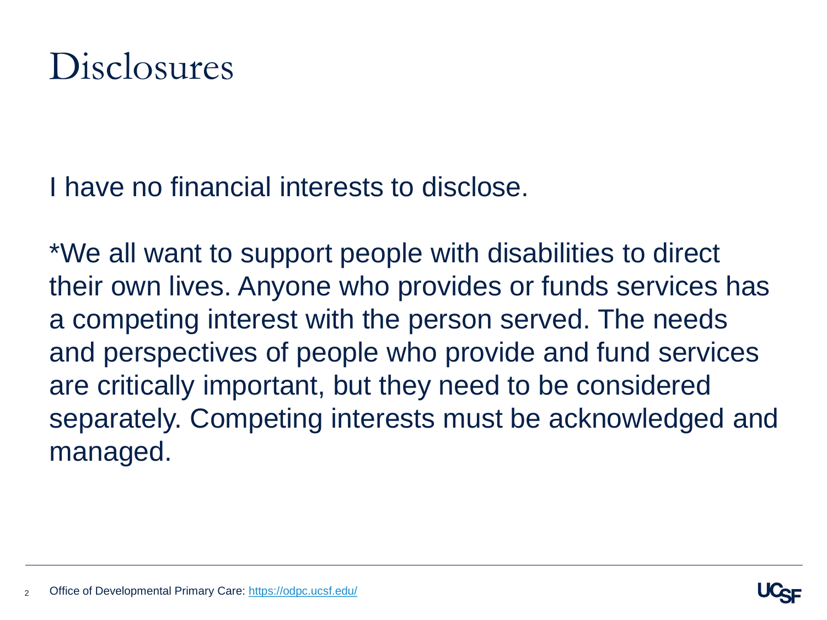### Disclosures

I have no financial interests to disclose.

\*We all want to support people with disabilities to direct their own lives. Anyone who provides or funds services has a competing interest with the person served. The needs and perspectives of people who provide and fund services are critically important, but they need to be considered separately. Competing interests must be acknowledged and managed.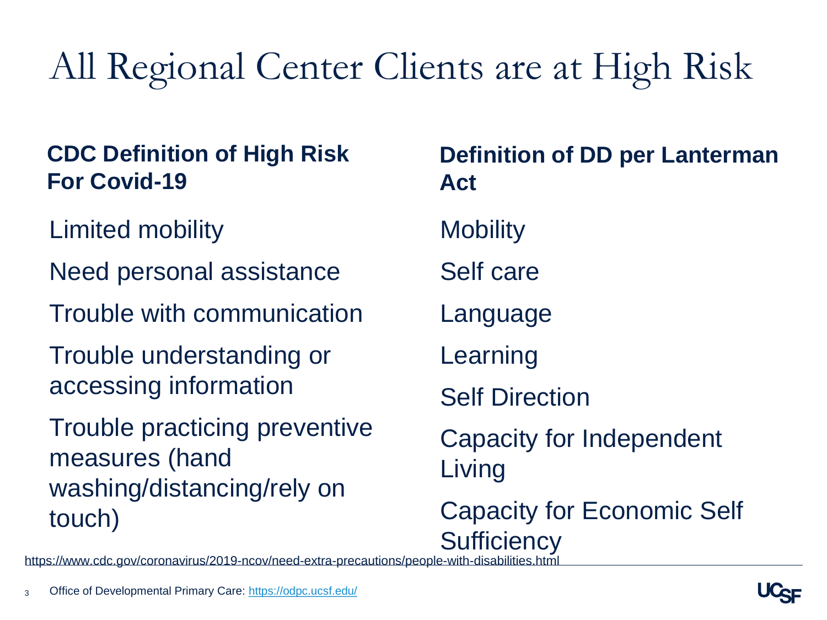# All Regional Center Clients are at High Risk

#### **CDC Definition of High Risk For Covid-19**

- Limited mobility
- Need personal assistance
- Trouble with communication
- Trouble understanding or accessing information
- Trouble practicing preventive measures (hand washing/distancing/rely on touch)

**Mobility** Self care Language Learning Self Direction Capacity for Independent Living Capacity for Economic Self **Sufficiency Definition of DD per Lanterman Act**

https://www.cdc.gov/coronavirus/2019-ncov/need-extra-precautions/people-with-disabilities.html

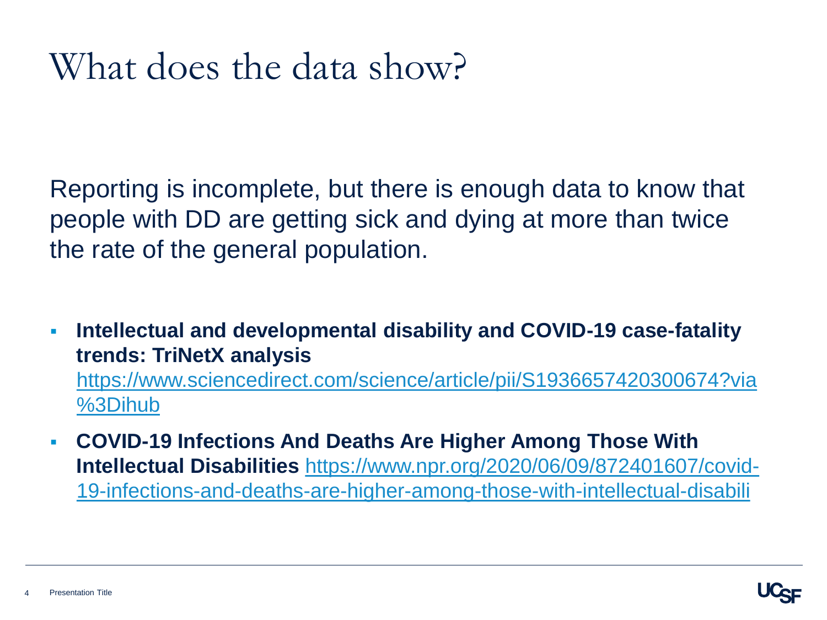## What does the data show?

Reporting is incomplete, but there is enough data to know that people with DD are getting sick and dying at more than twice the rate of the general population.

 **Intellectual and developmental disability and COVID-19 case-fatality trends: TriNetX analysis**  [https://www.sciencedirect.com/science/article/pii/S1936657420300674?via](https://www.sciencedirect.com/science/article/pii/S1936657420300674?via%3Dihub)

%3Dihub

 **COVID-19 Infections And Deaths Are Higher Among Those With Intellectual Disabilities** https://www.npr.org/2020/06/09/872401607/covid-[19-infections-and-deaths-are-higher-among-those-with-intellectual-disabili](https://www.npr.org/2020/06/09/872401607/covid-19-infections-and-deaths-are-higher-among-those-with-intellectual-disabili)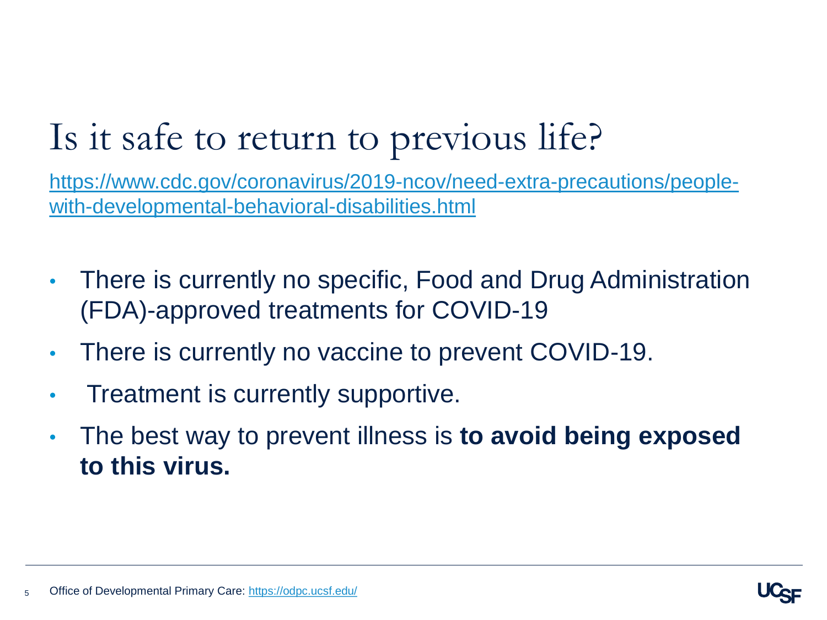## Is it safe to return to previous life?

[https://www.cdc.gov/coronavirus/2019-ncov/need-extra-precautions/people](https://www.cdc.gov/coronavirus/2019-ncov/need-extra-precautions/people-with-developmental-behavioral-disabilities.html)with-developmental-behavioral-disabilities.html

- There is currently no specific, Food and Drug Administration (FDA)-approved treatments for COVID-19
- There is currently no vaccine to prevent COVID-19.
- Treatment is currently supportive.
- The best way to prevent illness is **to avoid being exposed to this virus.**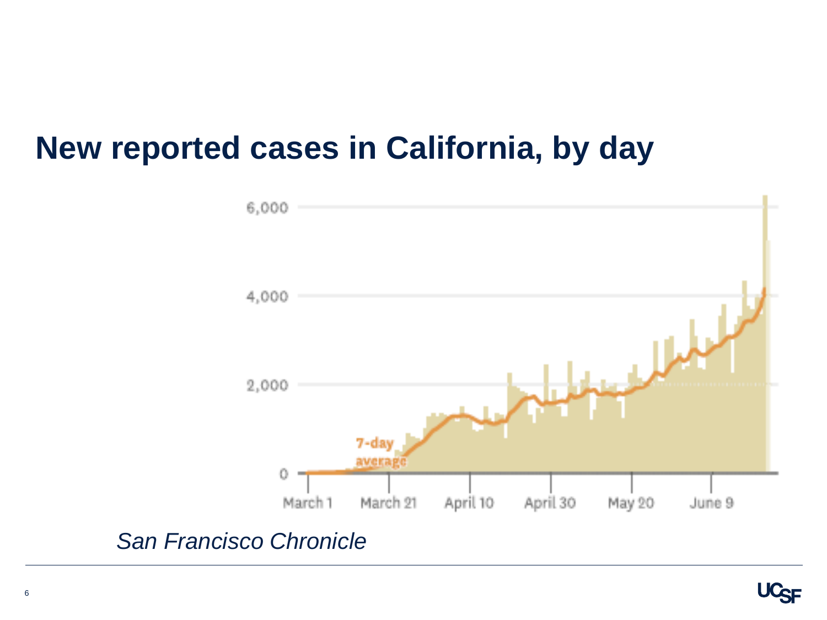#### **New reported cases in California, by day**



#### *San Francisco Chronicle*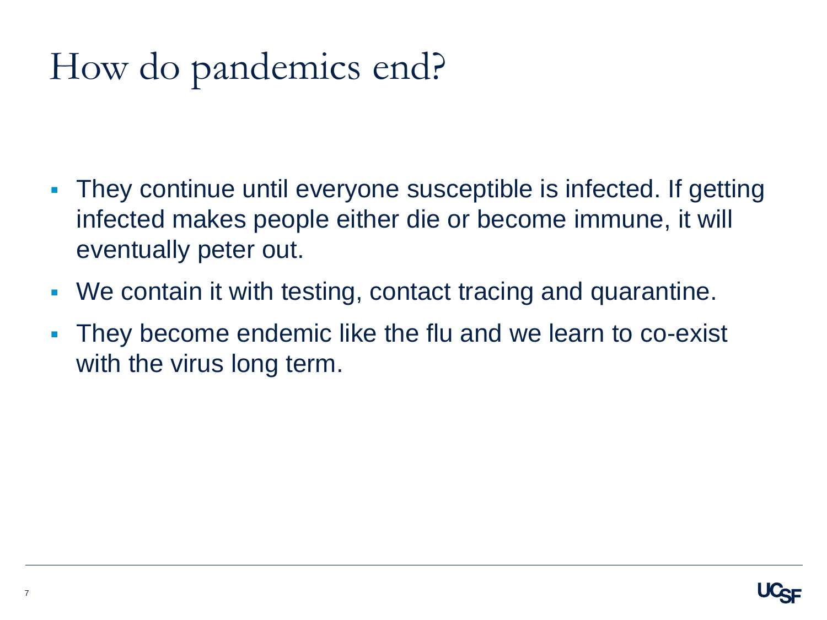# How do pandemics end?

- They continue until everyone susceptible is infected. If getting infected makes people either die or become immune, it will eventually peter out.
- We contain it with testing, contact tracing and quarantine.
- They become endemic like the flu and we learn to co-exist with the virus long term.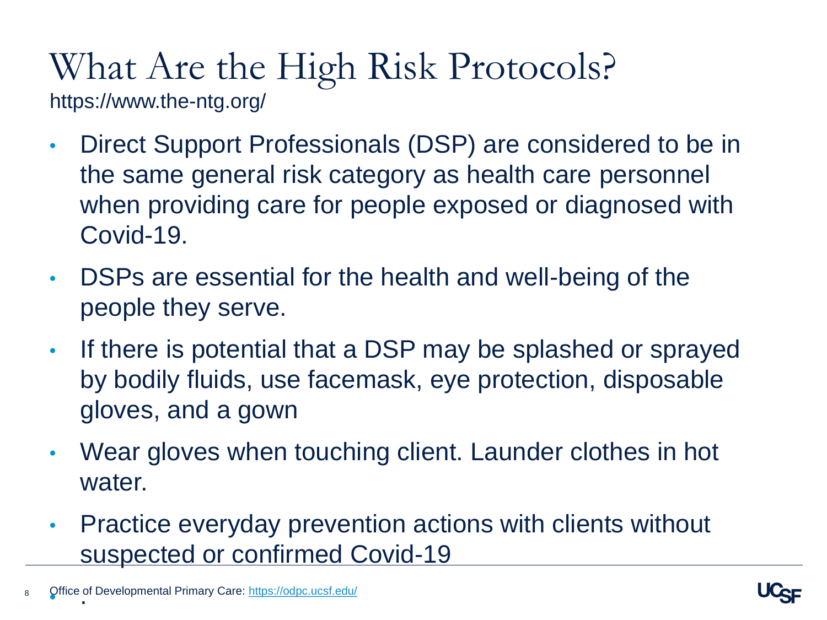#### What Are the High Risk Protocols? https://www.the-ntg.org/

- Direct Support Professionals (DSP) are considered to be in the same general risk category as health care personnel when providing care for people exposed or diagnosed with Covid-19.
- DSPs are essential for the health and well-being of the people they serve.
- If there is potential that a DSP may be splashed or sprayed by bodily fluids, use facemask, eye protection, disposable gloves, and a gown
- Wear gloves when touching client. Launder clothes in hot water.
- Practice everyday prevention actions with clients without suspected or confirmed Covid-19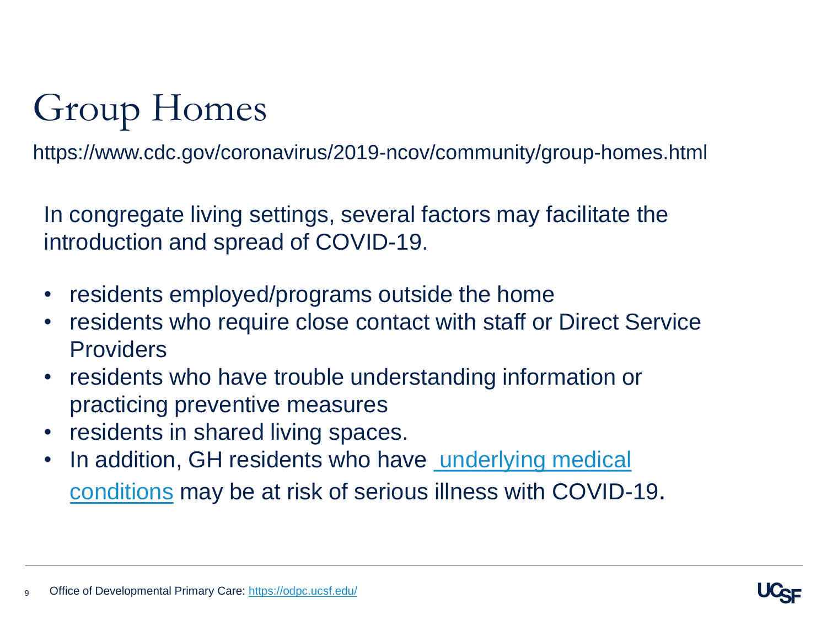# Group Homes

https://www.cdc.gov/coronavirus/2019-ncov/community/group-homes.html

In congregate living settings, several factors may facilitate the introduction and spread of COVID-19.

- residents employed/programs outside the home
- residents who require close contact with staff or Direct Service Providers
- residents who have trouble understanding information or practicing preventive measures
- residents in shared living spaces.
- In addition, GH residents who have underlying medical conditions may be at risk of serious illness with COVID-19.

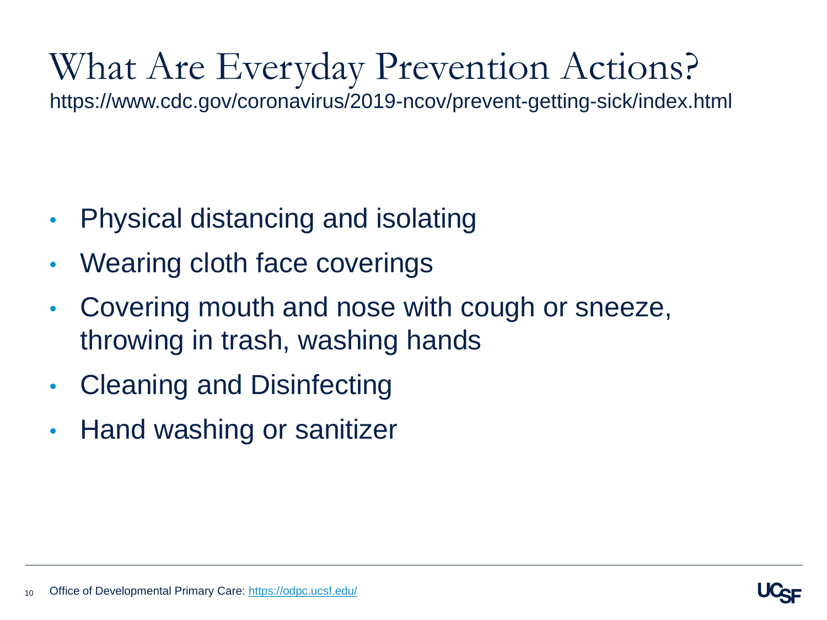# What Are Everyday Prevention Actions?

https://www.cdc.gov/coronavirus/2019-ncov/prevent-getting-sick/index.html

- Physical distancing and isolating
- Wearing cloth face coverings
- Covering mouth and nose with cough or sneeze, throwing in trash, washing hands
- Cleaning and Disinfecting
- Hand washing or sanitizer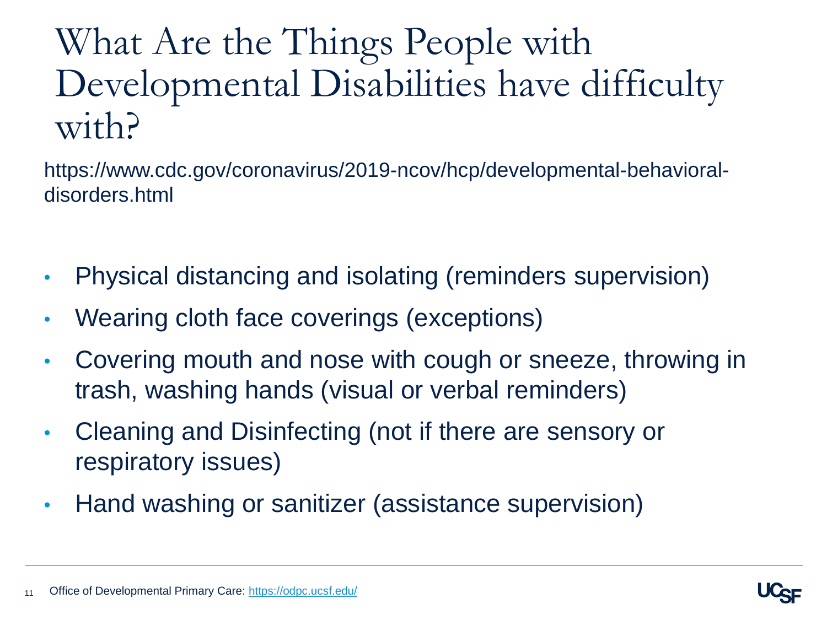## What Are the Things People with Developmental Disabilities have difficulty with?

https://www.cdc.gov/coronavirus/2019-ncov/hcp/developmental-behavioraldisorders.html

- Physical distancing and isolating (reminders supervision)
- Wearing cloth face coverings (exceptions)
- Covering mouth and nose with cough or sneeze, throwing in trash, washing hands (visual or verbal reminders)
- Cleaning and Disinfecting (not if there are sensory or respiratory issues)
- Hand washing or sanitizer (assistance supervision)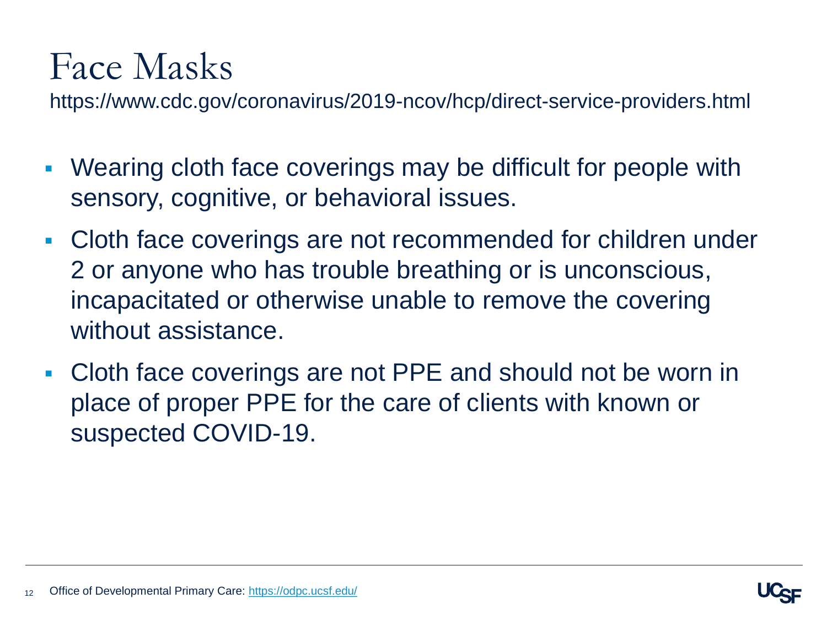## Face Masks

https://www.cdc.gov/coronavirus/2019-ncov/hcp/direct-service-providers.html

- Wearing cloth face coverings may be difficult for people with sensory, cognitive, or behavioral issues.
- Cloth face coverings are not recommended for children under 2 or anyone who has trouble breathing or is unconscious, incapacitated or otherwise unable to remove the covering without assistance.
- Cloth face coverings are not PPE and should not be worn in place of proper PPE for the care of clients with known or suspected COVID-19.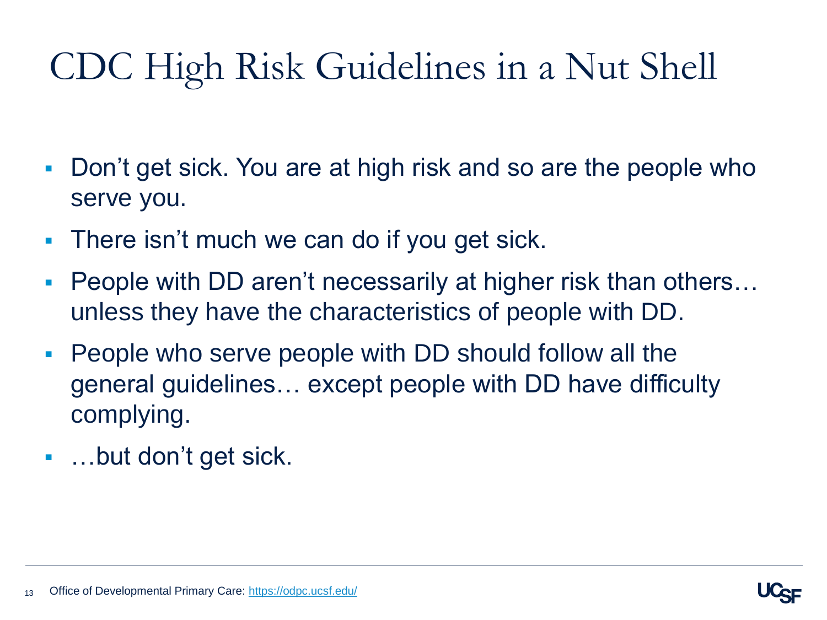# CDC High Risk Guidelines in a Nut Shell

- Don't get sick. You are at high risk and so are the people who serve you.
- **There isn't much we can do if you get sick.**
- People with DD aren't necessarily at higher risk than others… unless they have the characteristics of people with DD.
- People who serve people with DD should follow all the general guidelines… except people with DD have difficulty complying.
- …but don't get sick.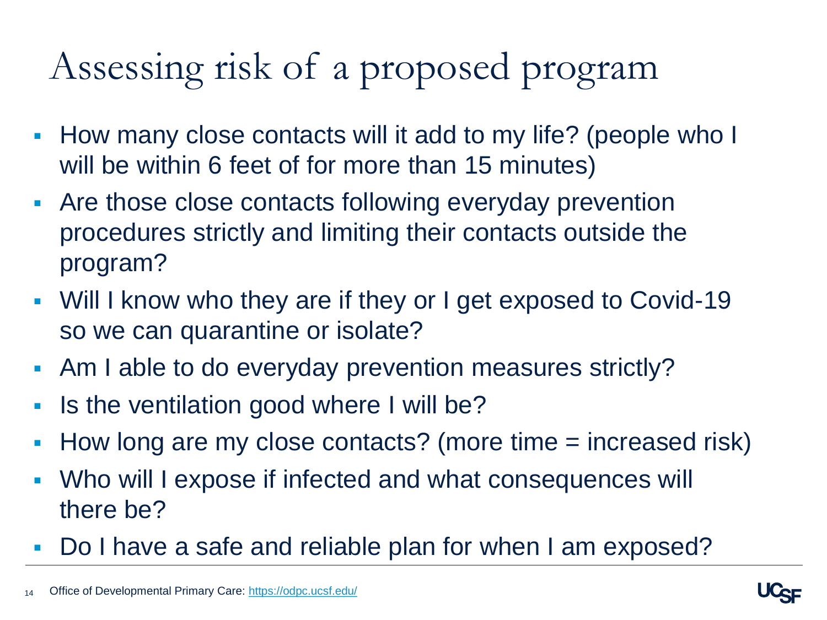# Assessing risk of a proposed program

- **How many close contacts will it add to my life? (people who I** will be within 6 feet of for more than 15 minutes)
- Are those close contacts following everyday prevention procedures strictly and limiting their contacts outside the program?
- Will I know who they are if they or I get exposed to Covid-19 so we can quarantine or isolate?
- Am I able to do everyday prevention measures strictly?
- If Is the ventilation good where I will be?
- How long are my close contacts? (more time = increased risk)
- Who will I expose if infected and what consequences will there be?
- Do I have a safe and reliable plan for when I am exposed?

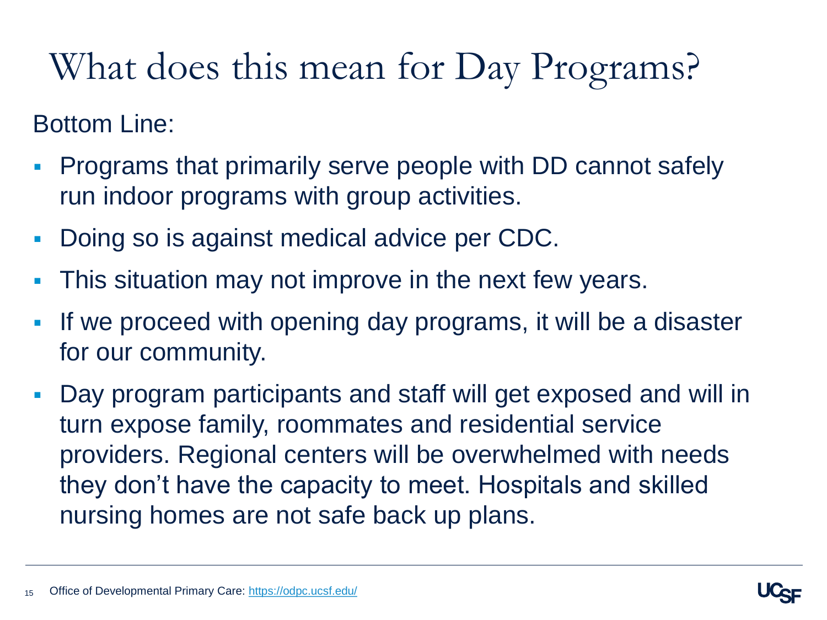# What does this mean for Day Programs?

#### Bottom Line:

- Programs that primarily serve people with DD cannot safely run indoor programs with group activities.
- Doing so is against medical advice per CDC.
- This situation may not improve in the next few years.
- If we proceed with opening day programs, it will be a disaster for our community.
- Day program participants and staff will get exposed and will in turn expose family, roommates and residential service providers. Regional centers will be overwhelmed with needs they don't have the capacity to meet. Hospitals and skilled nursing homes are not safe back up plans.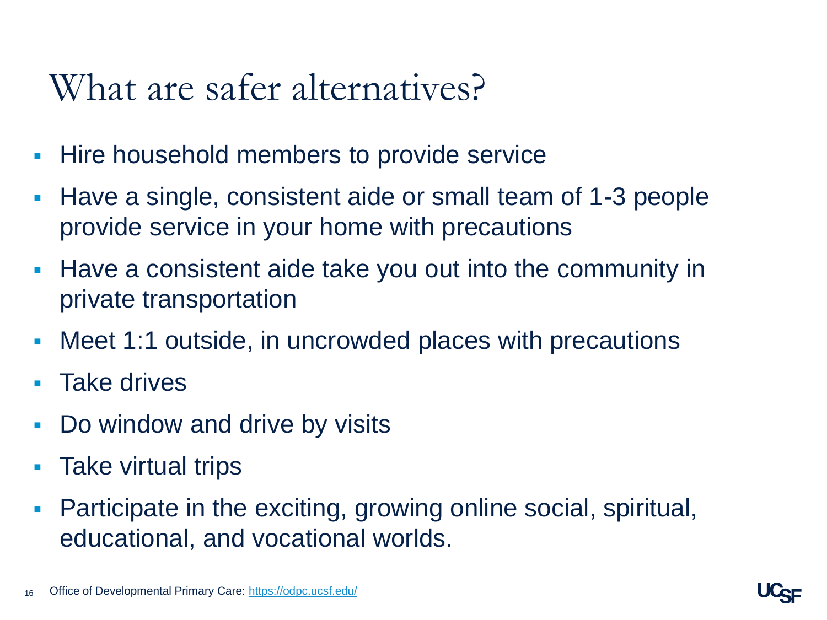#### What are safer alternatives?

- **Hire household members to provide service**
- Have a single, consistent aide or small team of 1-3 people provide service in your home with precautions
- Have a consistent aide take you out into the community in private transportation
- Meet 1:1 outside, in uncrowded places with precautions
- Take drives
- **-** Do window and drive by visits
- **Take virtual trips**
- Participate in the exciting, growing online social, spiritual, educational, and vocational worlds.

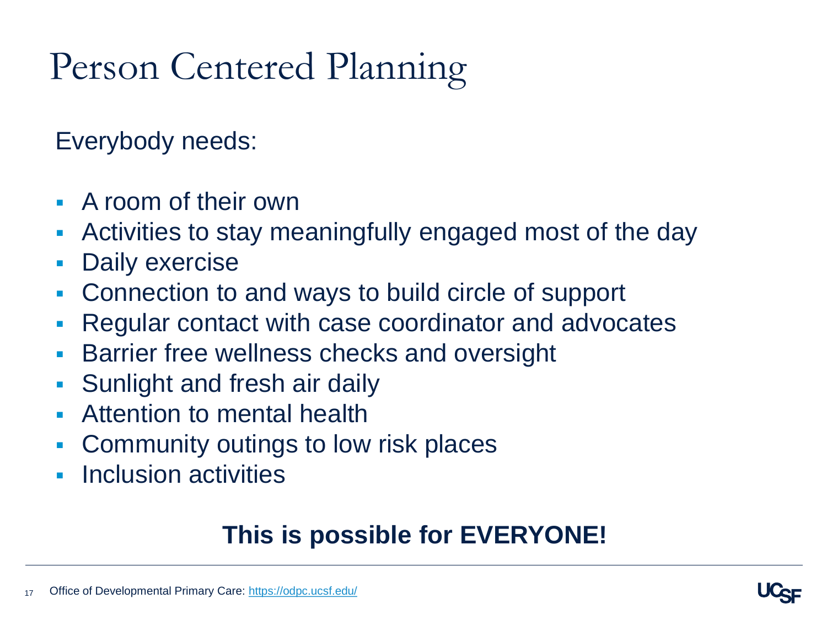# Person Centered Planning

Everybody needs:

- A room of their own
- Activities to stay meaningfully engaged most of the day
- **Daily exercise**
- Connection to and ways to build circle of support
- Regular contact with case coordinator and advocates
- Barrier free wellness checks and oversight
- **Sunlight and fresh air daily**
- Attention to mental health
- Community outings to low risk places
- **Inclusion activities**

#### **This is possible for EVERYONE!**

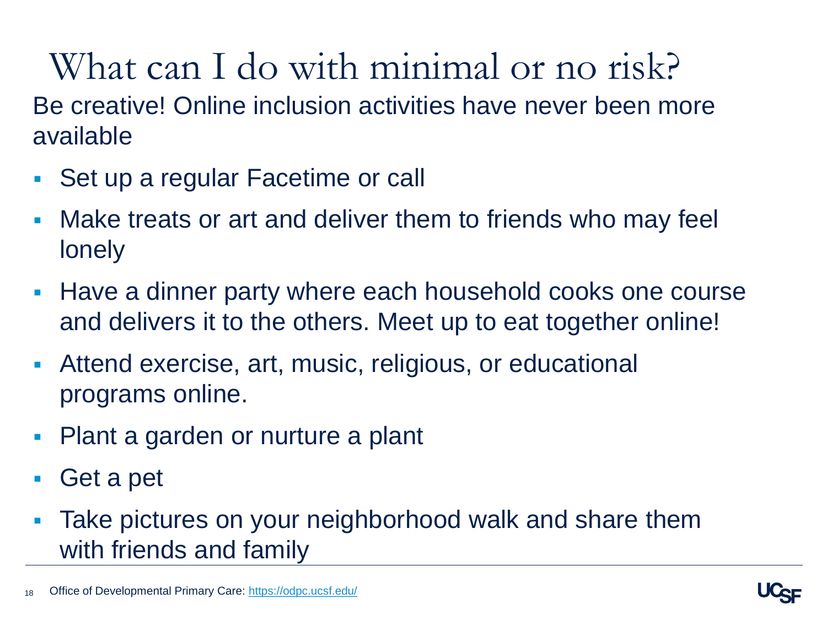What can I do with minimal or no risk? Be creative! Online inclusion activities have never been more available

- Set up a regular Facetime or call
- Make treats or art and deliver them to friends who may feel lonely
- Have a dinner party where each household cooks one course and delivers it to the others. Meet up to eat together online!
- Attend exercise, art, music, religious, or educational programs online.
- Plant a garden or nurture a plant
- Get a pet
- Take pictures on your neighborhood walk and share them with friends and family

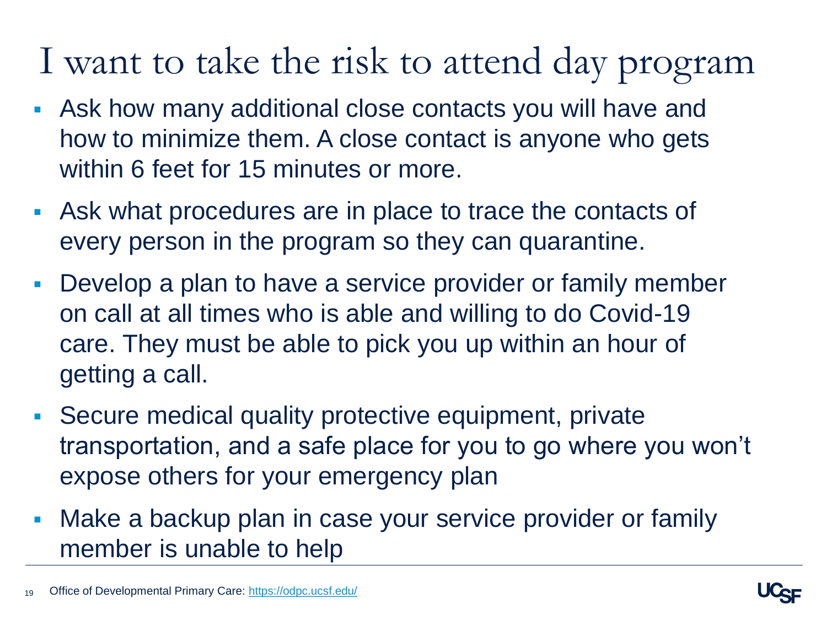# I want to take the risk to attend day program

- Ask how many additional close contacts you will have and how to minimize them. A close contact is anyone who gets within 6 feet for 15 minutes or more.
- Ask what procedures are in place to trace the contacts of every person in the program so they can quarantine.
- Develop a plan to have a service provider or family member on call at all times who is able and willing to do Covid-19 care. They must be able to pick you up within an hour of getting a call.
- Secure medical quality protective equipment, private transportation, and a safe place for you to go where you won't expose others for your emergency plan
- **Make a backup plan in case your service provider or family** member is unable to help